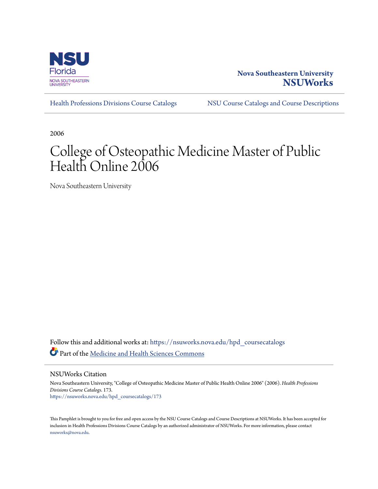

#### **Nova Southeastern University [NSUWorks](https://nsuworks.nova.edu?utm_source=nsuworks.nova.edu%2Fhpd_coursecatalogs%2F173&utm_medium=PDF&utm_campaign=PDFCoverPages)**

[Health Professions Divisions Course Catalogs](https://nsuworks.nova.edu/hpd_coursecatalogs?utm_source=nsuworks.nova.edu%2Fhpd_coursecatalogs%2F173&utm_medium=PDF&utm_campaign=PDFCoverPages) [NSU Course Catalogs and Course Descriptions](https://nsuworks.nova.edu/nsu_catalogs?utm_source=nsuworks.nova.edu%2Fhpd_coursecatalogs%2F173&utm_medium=PDF&utm_campaign=PDFCoverPages)

2006

# College of Osteopathic Medicine Master of Public Health Online 2006

Nova Southeastern University

Follow this and additional works at: [https://nsuworks.nova.edu/hpd\\_coursecatalogs](https://nsuworks.nova.edu/hpd_coursecatalogs?utm_source=nsuworks.nova.edu%2Fhpd_coursecatalogs%2F173&utm_medium=PDF&utm_campaign=PDFCoverPages) Part of the [Medicine and Health Sciences Commons](http://network.bepress.com/hgg/discipline/648?utm_source=nsuworks.nova.edu%2Fhpd_coursecatalogs%2F173&utm_medium=PDF&utm_campaign=PDFCoverPages)

NSUWorks Citation

Nova Southeastern University, "College of Osteopathic Medicine Master of Public Health Online 2006" (2006). *Health Professions Divisions Course Catalogs*. 173. [https://nsuworks.nova.edu/hpd\\_coursecatalogs/173](https://nsuworks.nova.edu/hpd_coursecatalogs/173?utm_source=nsuworks.nova.edu%2Fhpd_coursecatalogs%2F173&utm_medium=PDF&utm_campaign=PDFCoverPages)

This Pamphlet is brought to you for free and open access by the NSU Course Catalogs and Course Descriptions at NSUWorks. It has been accepted for inclusion in Health Professions Divisions Course Catalogs by an authorized administrator of NSUWorks. For more information, please contact [nsuworks@nova.edu.](mailto:nsuworks@nova.edu)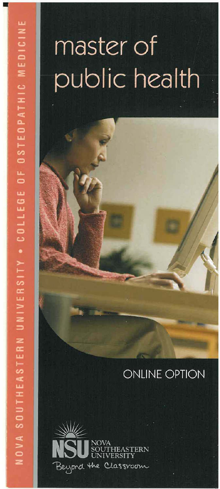# master of public health

#### **ONLINE OPTION**

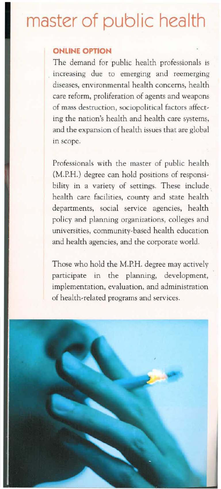## **master of public health**

#### **ONLINE OPTION**

The demand for public health professionals is . **increasing due to emerging and reemerging diseases, environmental health concerns, health care reform, proliferation of agents and weapons**  of mass destruction, sociopolitical factors affecting the nation's health and health care systems, and the expansion of health issues that are global **in scope.** 

Professionals with the master of public health (M.P.H.) degree can hold positions of responsi**bility in a variety of settings. These include**  health care facilities, county and state health **departments, social service agencies, health**  policy and planning organizations, colleges and **universities,** community~based **health education**  and health agencies, and the corporate world.

Those who hold the M.P.H. degree may actively **participate in the planning, development, implementation, evaluation, and administration**  of health-related programs and services.

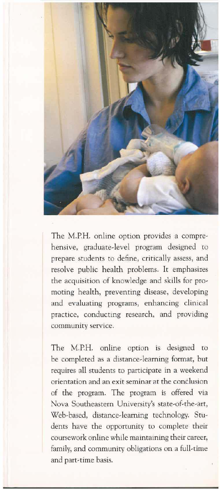

The M.P.H. online option provides a comprehensive, graduate-level program designed to prepare students to define, critically assess, and resolve public health problems. It emphasizes the acquisition of knowledge and skills for promoting health, preventing disease, developing and evaluating programs, enhancing clinical practice, conducting research, and providing community service.

The M.P.H. online option is designed to be completed as a distance-learning format, but requires all students to participate in a weekend orientation and an exit seminar at the conclusion of the program. The program is offered via Nova Southeastern University's state-of-the-art, Web-based, distance-learning technology. Students have the opportunity to complete their coursework online while maintaining their career, family, and community obligations on a full-time and part-time basis.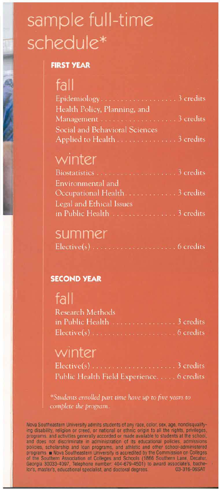# sample full-time schedule\*

#### **FIRST YEAR**

### $fall$

| .                                     |  |
|---------------------------------------|--|
|                                       |  |
| Health Policy, Planning, and          |  |
|                                       |  |
| <b>Social and Behavioral Sciences</b> |  |
| Applied to Health 3 credits           |  |

#### winter

| Environmental and              |  |
|--------------------------------|--|
| Occupational Health. 3 credits |  |
| Legal and Ethical Issues       |  |
|                                |  |

#### summer

|--|--|--|--|--|

#### **SECOND YEAR**

#### fall

| Research Methods |  |  |  |  |  |
|------------------|--|--|--|--|--|
|                  |  |  |  |  |  |
|                  |  |  |  |  |  |

#### winter

| Public Health Field Experience 6 credits |  |  |
|------------------------------------------|--|--|

\*Students enrolled part time have up to five years to complete the program.

Nova Southeastern University admits students of any race, color, sex, age, nondisqualifying disability, religion or creed, or national or ethnic origin to all the rights, privileges programs, and activities generally accorded or made available to students at the school, programs, and attentional either and the account of its educational policies, admissions<br>and does not discriminate in administration of its educational policies, admissions<br>policies, scholarship and loan programs, and athl lor's, master's, educational specialist, and doctoral degrees. 03-316-06SAT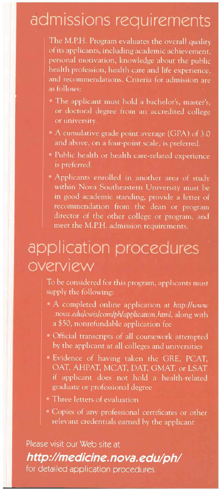### admissions requirements

The M.P.H. Program evaluates the overall quality of its applicants, including academic achievement, personal motivation, knowledge about the public health profession, health care and life experience, and recommendations. Criteria for admission are as follows:

- The applicant must hold a bachelor's, master's, or doctoral degree from an accredited college
- A cumulative grade point average (GPA) of 3.0 and above, on a four-point scale, is preferred.
- · Public health or health care-related experience is preferred.
- Applicants enrolled in another area of study within Nova Southeastern University must be in good academic standing, provide a letter of recommendation from the dean or program director of the other college or program, and meet the M.P.H. admission requirements.

### application procedures overview

To be considered for this program, applicants must supply the following:

- A completed online application at http://www .nova.edu/cwis/com/ph/application.html, along with a \$50, nonrefundable application fee
- · Official transcripts of all coursework attempted by the applicant at all colleges and universities
- · Evidence of having taken the GRE, PCAT, OAT, AHPAT, MCAT, DAT, GMAT, or LSAT if applicant does not hold a health-related graduate or professional degree
- Three letters of evaluation
- · Copies of any professional certificates or other relevant credentials earned by the applicant

Please visit our Web site at

#### http://medicine.nova.edu/ph/

for detailed application procedures.